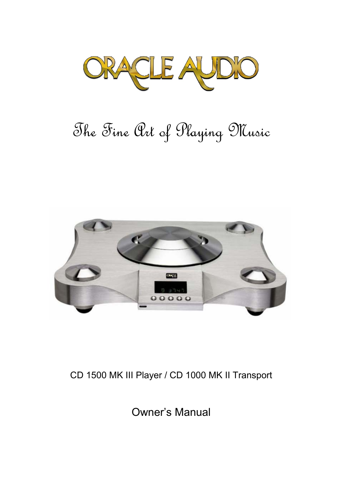

# The Fine Art of Playing Music



# CD 1500 MK III Player / CD 1000 MK II Transport

Owner's Manual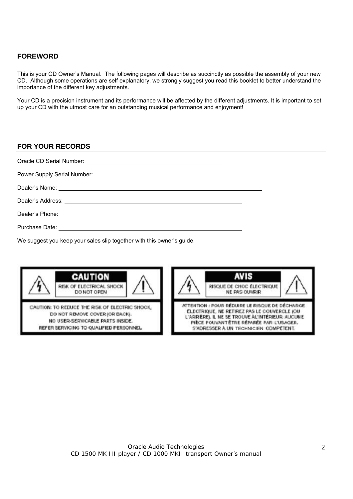#### **FOREWORD**

This is your CD Owner's Manual. The following pages will describe as succinctly as possible the assembly of your new CD. Although some operations are self explanatory, we strongly suggest you read this booklet to better understand the importance of the different key adjustments.

Your CD is a precision instrument and its performance will be affected by the different adjustments. It is important to set up your CD with the utmost care for an outstanding musical performance and enjoyment!

#### **FOR YOUR RECORDS**

We suggest you keep your sales slip together with this owner's guide.

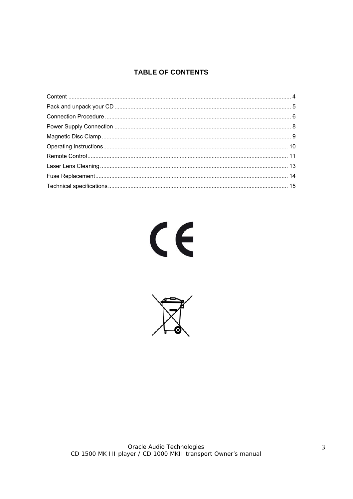# **TABLE OF CONTENTS**



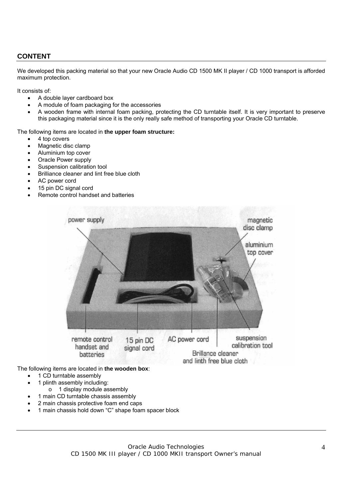## **CONTENT**

We developed this packing material so that your new Oracle Audio CD 1500 MK II player / CD 1000 transport is afforded maximum protection.

It consists of:

- A double layer cardboard box
- A module of foam packaging for the accessories
- A wooden frame with internal foam packing, protecting the CD turntable itself. It is very important to preserve this packaging material since it is the only really safe method of transporting your Oracle CD turntable.

The following items are located in **the upper foam structure:**

- 4 top covers
- Magnetic disc clamp
- Aluminium top cover
- Oracle Power supply
- Suspension calibration tool
- Brilliance cleaner and lint free blue cloth
- AC power cord
- 15 pin DC signal cord
- Remote control handset and batteries



The following items are located in **the wooden box**:

- 1 CD turntable assembly
- 1 plinth assembly including:
	- o 1 display module assembly
- 1 main CD turntable chassis assembly
- 2 main chassis protective foam end caps
- 1 main chassis hold down "C" shape foam spacer block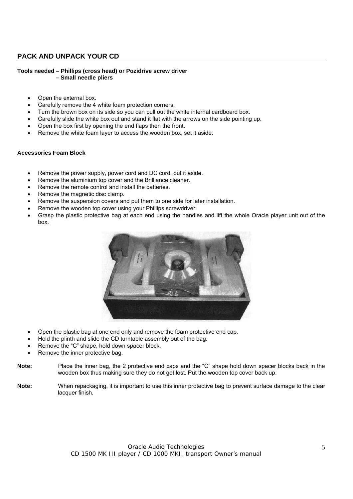## **PACK AND UNPACK YOUR CD**

#### **Tools needed – Phillips (cross head) or Pozidrive screw driver – Small needle pliers**

- Open the external box.
- Carefully remove the 4 white foam protection corners.
- Turn the brown box on its side so you can pull out the white internal cardboard box.
- Carefully slide the white box out and stand it flat with the arrows on the side pointing up.
- Open the box first by opening the end flaps then the front.
- Remove the white foam layer to access the wooden box, set it aside.

#### **Accessories Foam Block**

- Remove the power supply, power cord and DC cord, put it aside.
- Remove the aluminium top cover and the Brilliance cleaner.
- Remove the remote control and install the batteries.
- Remove the magnetic disc clamp.
- Remove the suspension covers and put them to one side for later installation.
- Remove the wooden top cover using your Phillips screwdriver.
- Grasp the plastic protective bag at each end using the handles and lift the whole Oracle player unit out of the box.



- Open the plastic bag at one end only and remove the foam protective end cap.
- Hold the plinth and slide the CD turntable assembly out of the bag.
- Remove the "C" shape, hold down spacer block.
- Remove the inner protective bag.
- **Note:** Place the inner bag, the 2 protective end caps and the "C" shape hold down spacer blocks back in the wooden box thus making sure they do not get lost. Put the wooden top cover back up.
- Note: When repackaging, it is important to use this inner protective bag to prevent surface damage to the clear lacquer finish.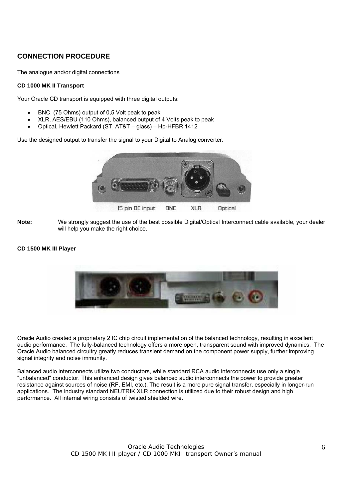## **CONNECTION PROCEDURE**

The analogue and/or digital connections

#### **CD 1000 MK II Transport**

Your Oracle CD transport is equipped with three digital outputs:

- BNC, (75 Ohms) output of 0,5 Volt peak to peak
- XLR, AES/EBU (110 Ohms), balanced output of 4 Volts peak to peak
- Optical, Hewlett Packard (ST, AT&T glass) Hp-HFBR 1412

Use the designed output to transfer the signal to your Digital to Analog converter.



**Note:** We strongly suggest the use of the best possible Digital/Optical Interconnect cable available, your dealer will help you make the right choice.

#### **CD 1500 MK III Player**



Oracle Audio created a proprietary 2 IC chip circuit implementation of the balanced technology, resulting in excellent audio performance. The fully-balanced technology offers a more open, transparent sound with improved dynamics. The Oracle Audio balanced circuitry greatly reduces transient demand on the component power supply, further improving signal integrity and noise immunity.

Balanced audio interconnects utilize two conductors, while standard RCA audio interconnects use only a single "unbalanced" conductor. This enhanced design gives balanced audio interconnects the power to provide greater resistance against sources of noise (RF, EMI, etc.). The result is a more pure signal transfer, especially in longer-run applications. The industry standard NEUTRIK XLR connection is utilized due to their robust design and high performance. All internal wiring consists of twisted shielded wire.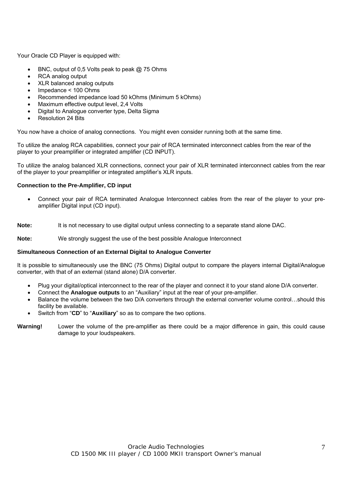Your Oracle CD Player is equipped with:

- BNC, output of 0,5 Volts peak to peak @ 75 Ohms
- RCA analog output
- XLR balanced analog outputs
- Impedance < 100 Ohms
- Recommended impedance load 50 kOhms (Minimum 5 kOhms)
- Maximum effective output level, 2,4 Volts
- Digital to Analogue converter type, Delta Sigma
- Resolution 24 Bits

You now have a choice of analog connections. You might even consider running both at the same time.

To utilize the analog RCA capabilities, connect your pair of RCA terminated interconnect cables from the rear of the player to your preamplifier or integrated amplifier (CD INPUT).

To utilize the analog balanced XLR connections, connect your pair of XLR terminated interconnect cables from the rear of the player to your preamplifier or integrated amplifier's XLR inputs.

#### **Connection to the Pre-Amplifier, CD input**

• Connect your pair of RCA terminated Analogue Interconnect cables from the rear of the player to your preamplifier Digital input (CD input).

**Note:** It is not necessary to use digital output unless connecting to a separate stand alone DAC.

**Note:** We strongly suggest the use of the best possible Analogue Interconnect

#### **Simultaneous Connection of an External Digital to Analogue Converter**

It is possible to simultaneously use the BNC (75 Ohms) Digital output to compare the players internal Digital/Analogue converter, with that of an external (stand alone) D/A converter.

- Plug your digital/optical interconnect to the rear of the player and connect it to your stand alone D/A converter.
- Connect the **Analogue outputs** to an "Auxiliary" input at the rear of your pre-amplifier.
- Balance the volume between the two D/A converters through the external converter volume control…should this facility be available.
- Switch from "**CD**" to "**Auxiliary**" so as to compare the two options.

**Warning!** Lower the volume of the pre-amplifier as there could be a major difference in gain, this could cause damage to your loudspeakers.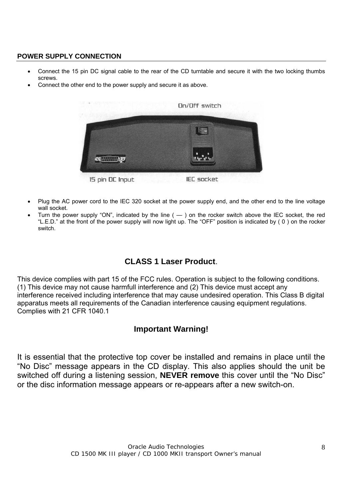### **POWER SUPPLY CONNECTION**

- Connect the 15 pin DC signal cable to the rear of the CD turntable and secure it with the two locking thumbs screws.
- Connect the other end to the power supply and secure it as above.



- Plug the AC power cord to the IEC 320 socket at the power supply end, and the other end to the line voltage wall socket.
- Turn the power supply "ON", indicated by the line  $($   $)$  on the rocker switch above the IEC socket, the red "L.E.D." at the front of the power supply will now light up. The "OFF" position is indicated by ( 0 ) on the rocker switch.

# **CLASS 1 Laser Product**.

This device complies with part 15 of the FCC rules. Operation is subject to the following conditions. (1) This device may not cause harmfull interference and (2) This device must accept any interference received including interference that may cause undesired operation. This Class B digital apparatus meets all requirements of the Canadian interference causing equipment regulations. Complies with 21 CFR 1040.1

# **Important Warning!**

It is essential that the protective top cover be installed and remains in place until the "No Disc" message appears in the CD display. This also applies should the unit be switched off during a listening session, **NEVER remove** this cover until the "No Disc" or the disc information message appears or re-appears after a new switch-on.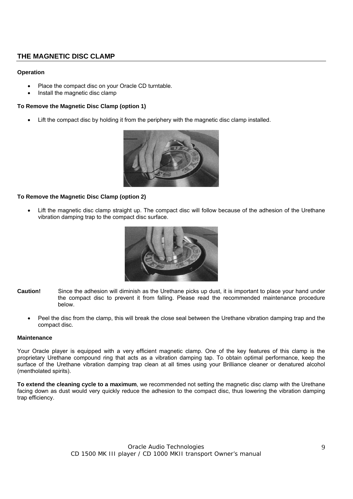#### **THE MAGNETIC DISC CLAMP**

#### **Operation**

- Place the compact disc on your Oracle CD turntable.
- Install the magnetic disc clamp

#### **To Remove the Magnetic Disc Clamp (option 1)**

• Lift the compact disc by holding it from the periphery with the magnetic disc clamp installed.



#### **To Remove the Magnetic Disc Clamp (option 2)**

Lift the magnetic disc clamp straight up. The compact disc will follow because of the adhesion of the Urethane vibration damping trap to the compact disc surface.



- **Caution!** Since the adhesion will diminish as the Urethane picks up dust, it is important to place your hand under the compact disc to prevent it from falling. Please read the recommended maintenance procedure below.
	- Peel the disc from the clamp, this will break the close seal between the Urethane vibration damping trap and the compact disc.

#### **Maintenance**

Your Oracle player is equipped with a very efficient magnetic clamp. One of the key features of this clamp is the proprietary Urethane compound ring that acts as a vibration damping tap. To obtain optimal performance, keep the surface of the Urethane vibration damping trap clean at all times using your Brilliance cleaner or denatured alcohol (mentholated spirits).

**To extend the cleaning cycle to a maximum**, we recommended not setting the magnetic disc clamp with the Urethane facing down as dust would very quickly reduce the adhesion to the compact disc, thus lowering the vibration damping trap efficiency.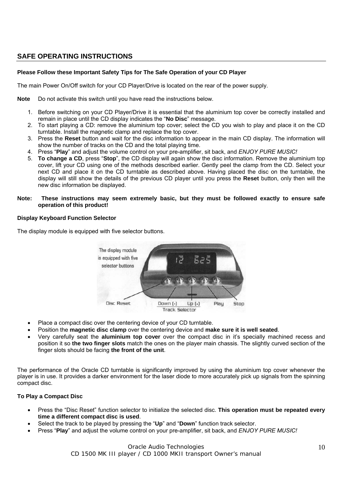## **SAFE OPERATING INSTRUCTIONS**

#### **Please Follow these Important Safety Tips for The Safe Operation of your CD Player**

The main Power On/Off switch for your CD Player/Drive is located on the rear of the power supply.

**Note** Do not activate this switch until you have read the instructions below.

- 1. Before switching on your CD Player/Drive it is essential that the aluminium top cover be correctly installed and remain in place until the CD display indicates the "**No Disc**" message.
- 2. To start playing a CD: remove the aluminium top cover; select the CD you wish to play and place it on the CD turntable. Install the magnetic clamp and replace the top cover.
- 3. Press the **Reset** button and wait for the disc information to appear in the main CD display. The information will show the number of tracks on the CD and the total playing time.
- 4. Press "**Play**" and adjust the volume control on your pre-amplifier, sit back, and *ENJOY PURE MUSIC!*
- 5. **To change a CD**, press "**Stop**", the CD display will again show the disc information. Remove the aluminium top cover, lift your CD using one of the methods described earlier. Gently peel the clamp from the CD. Select your next CD and place it on the CD turntable as described above. Having placed the disc on the turntable, the display will still show the details of the previous CD player until you press the **Reset** button, only then will the new disc information be displayed.

#### **Note: These instructions may seem extremely basic, but they must be followed exactly to ensure safe operation of this product!**

#### **Display Keyboard Function Selector**

The display module is equipped with five selector buttons.



- Place a compact disc over the centering device of your CD turntable.
- Position the **magnetic disc clamp** over the centering device and **make sure it is well seated**.
- Very carefully seat the **aluminium top cover** over the compact disc in it's specially machined recess and position it so **the two finger slots** match the ones on the player main chassis. The slightly curved section of the finger slots should be facing **the front of the unit**.

The performance of the Oracle CD turntable is significantly improved by using the aluminium top cover whenever the player is in use. It provides a darker environment for the laser diode to more accurately pick up signals from the spinning compact disc.

#### **To Play a Compact Disc**

- Press the "Disc Reset" function selector to initialize the selected disc. **This operation must be repeated every time a different compact disc is used**.
- Select the track to be played by pressing the "**Up**" and "**Down**" function track selector.
- Press "**Play**" and adjust the volume control on your pre-amplifier, sit back, and *ENJOY PURE MUSIC!*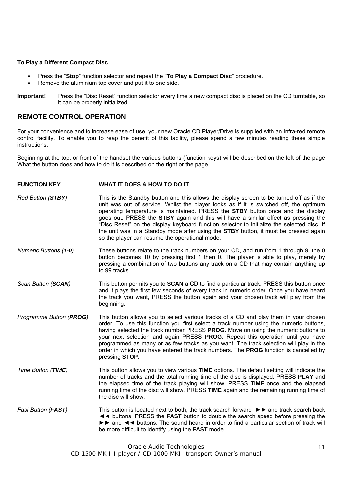#### **To Play a Different Compact Disc**

- Press the "**Stop**" function selector and repeat the "**To Play a Compact Disc**" procedure.
- Remove the aluminium top cover and put it to one side.
- **Important!** Press the "Disc Reset" function selector every time a new compact disc is placed on the CD turntable, so it can be properly initialized.

#### **REMOTE CONTROL OPERATION**

For your convenience and to increase ease of use, your new Oracle CD Player/Drive is supplied with an Infra-red remote control facility. To enable you to reap the benefit of this facility, please spend a few minutes reading these simple instructions.

Beginning at the top, or front of the handset the various buttons (function keys) will be described on the left of the page What the button does and how to do it is described on the right or the page.

#### **FUNCTION KEY WHAT IT DOES & HOW TO DO IT**

- *Red Button (STBY)* This is the Standby button and this allows the display screen to be turned off as if the unit was out of service. Whilst the player looks as if it is switched off, the optimum operating temperature is maintained. PRESS the **STBY** button once and the display goes out. PRESS the **STBY** again and this will have a similar effect as pressing the "Disc Reset" on the display keyboard function selector to initialize the selected disc. If the unit was in a Standby mode after using the **STBY** button, it must be pressed again so the player can resume the operational mode.
- *Numeric Buttons (1-0)* These buttons relate to the track numbers on your CD, and run from 1 through 9, the 0 button becomes 10 by pressing first 1 then 0. The player is able to play, merely by pressing a combination of two buttons any track on a CD that may contain anything up to 99 tracks.
- *Scan Button (SCAN)* This button permits you to **SCAN** a CD to find a particular track. PRESS this button once and it plays the first few seconds of every track in numeric order. Once you have heard the track you want, PRESS the button again and your chosen track will play from the beginning.
- *Programme Button (PROG)* This button allows you to select various tracks of a CD and play them in your chosen order. To use this function you first select a track number using the numeric buttons, having selected the track number PRESS **PROG.** Move on using the numeric buttons to your next selection and again PRESS **PROG**. Repeat this operation until you have programmed as many or as few tracks as you want. The track selection will play in the order in which you have entered the track numbers. The **PROG** function is cancelled by pressing **STOP**.
- *Time Button (TIME)* This button allows you to view various **TIME** options. The default setting will indicate the number of tracks and the total running time of the disc is displayed. PRESS **PLAY** and the elapsed time of the track playing will show. PRESS **TIME** once and the elapsed running time of the disc will show. PRESS **TIME** again and the remaining running time of the disc will show.
- *Fast Button (FAST)* This button is located next to both, the track search forward ►► and track search back ◄◄ buttons. PRESS the **FAST** button to double the search speed before pressing the ►► and ◄◄ buttons. The sound heard in order to find a particular section of track will be more difficult to identify using the **FAST** mode.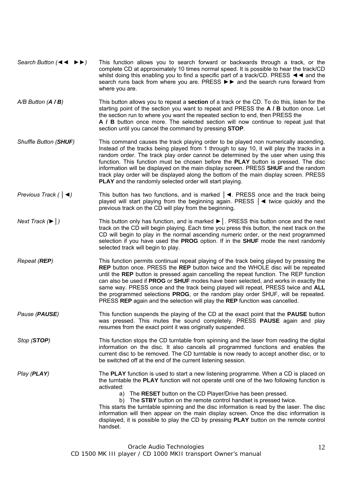| Search Button $(44 \rightarrow)$ | This function allows you to search forward or backwards through a track, or the                                             |
|----------------------------------|-----------------------------------------------------------------------------------------------------------------------------|
|                                  | complete CD at approximately 10 times normal speed. It is possible to hear the track/CD                                     |
|                                  | whilst doing this enabling you to find a specific part of a track/CD. PRESS $\blacktriangleleft \blacktriangleleft$ and the |
|                                  | search runs back from where you are. PRESS $\triangleright$ and the search runs forward from                                |
|                                  | where you are.                                                                                                              |

- *A/B Button (A / B)* This button allows you to repeat a **section** of a track or the CD. To do this, listen for the starting point of the section you want to repeat and PRESS the **A / B** button once. Let the section run to where you want the repeated section to end, then PRESS the **A / B** button once more. The selected section will now continue to repeat just that section until you cancel the command by pressing **STOP**.
- *Shuffle Button (SHUF)* This command causes the track playing order to be played non numerically ascending. Instead of the tracks being played from 1 through to say 10, it will play the tracks in a random order. The track play order cannot be determined by the user when using this function. This function must be chosen before the **PLAY** button is pressed. The disc information will be displayed on the main display screen. PRESS **SHUF** and the random track play order will be displayed along the bottom of the main display screen. PRESS **PLAY** and the randomly selected order will start playing.
- *Previous Track (* │*◄)* This button has two functions, and is marked │*◄*. PRESS once and the track being played will start playing from the beginning again. PRESS │*◄* twice quickly and the previous track on the CD will play from the beginning.
- *Next Track (►*│*)* This button only has function, and is marked *►*│. PRESS this button once and the next track on the CD will begin playing. Each time you press this button, the next track on the CD will begin to play in the normal ascending numeric order, or the next programmed selection if you have used the **PROG** option. If in the **SHUF** mode the next randomly selected track will begin to play.
- *Repeat (REP)* This function permits continual repeat playing of the track being played by pressing the **REP** button once. PRESS the **REP** button twice and the WHOLE disc will be repeated until the **REP** button is pressed again cancelling the repeat function. The REP function can also be used if **PROG** or **SHUF** modes have been selected, and works in exactly the same way. PRESS once and the track being played will repeat, PRESS twice and **ALL** the programmed selections **PROG**, or the random play order SHUF, will be repeated. PRESS **REP** again and the selection will play the **REP** function was cancelled.
- *Pause (PAUSE)* This function suspends the playing of the CD at the exact point that the **PAUSE** button was pressed. This mutes the sound completely. PRESS **PAUSE** again and play resumes from the exact point it was originally suspended.

*Stop (STOP)* This function stops the CD turntable from spinning and the laser from reading the digital information on the disc. It also cancels all programmed functions and enables the current disc to be removed. The CD turntable is now ready to accept another disc, or to be switched off at the end of the current listening session.

*Play (PLAY)* The **PLAY** function is used to start a new listening programme. When a CD is placed on the turntable the **PLAY** function will not operate until one of the two following function is activated:

a) The **RESET** button on the CD Player/Drive has been pressed.

b) The **STBY** button on the remote control handset is pressed twice.

This starts the turntable spinning and the disc information is read by the laser. The disc information will then appear on the main display screen. Once the disc information is displayed, it is possible to play the CD by pressing **PLAY** button on the remote control handset.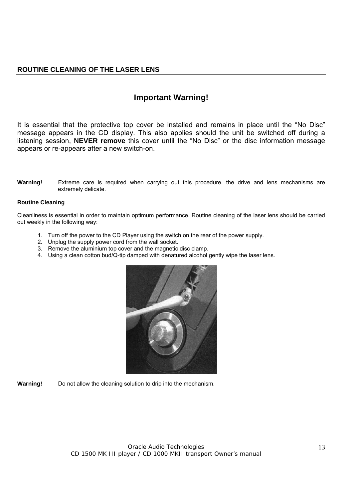# **Important Warning!**

It is essential that the protective top cover be installed and remains in place until the "No Disc" message appears in the CD display. This also applies should the unit be switched off during a listening session, **NEVER remove** this cover until the "No Disc" or the disc information message appears or re-appears after a new switch-on.

#### **Warning!** Extreme care is required when carrying out this procedure, the drive and lens mechanisms are extremely delicate.

#### **Routine Cleaning**

Cleanliness is essential in order to maintain optimum performance. Routine cleaning of the laser lens should be carried out weekly in the following way:

- 1. Turn off the power to the CD Player using the switch on the rear of the power supply.
- 2. Unplug the supply power cord from the wall socket.
- 3. Remove the aluminium top cover and the magnetic disc clamp.
- 4. Using a clean cotton bud/Q-tip damped with denatured alcohol gently wipe the laser lens.



**Warning!** Do not allow the cleaning solution to drip into the mechanism.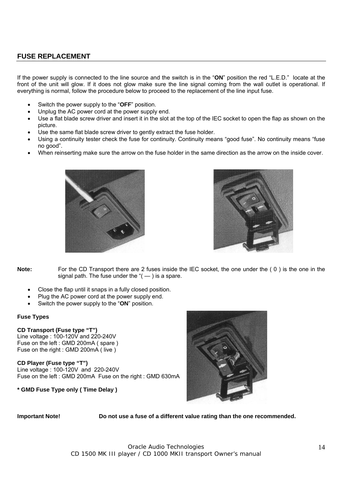#### **FUSE REPLACEMENT**

If the power supply is connected to the line source and the switch is in the "**ON**" position the red "L.E.D." locate at the front of the unit will glow. If it does not glow make sure the line signal coming from the wall outlet is operational. If everything is normal, follow the procedure below to proceed to the replacement of the line input fuse.

- Switch the power supply to the "**OFF**" position.
- Unplug the AC power cord at the power supply end.
- Use a flat blade screw driver and insert it in the slot at the top of the IEC socket to open the flap as shown on the picture.
- Use the same flat blade screw driver to gently extract the fuse holder.
- Using a continuity tester check the fuse for continuity. Continuity means "good fuse". No continuity means "fuse no good".
- When reinserting make sure the arrow on the fuse holder in the same direction as the arrow on the inside cover.





**Note:** For the CD Transport there are 2 fuses inside the IEC socket, the one under the (0) is the one in the signal path. The fuse under the " $($  —  $)$  is a spare.

- Close the flap until it snaps in a fully closed position.
- Plug the AC power cord at the power supply end.
- Switch the power supply to the "**ON**" position.

#### **Fuse Types**

#### **CD Transport (Fuse type "T")**

Line voltage : 100-120V and 220-240V Fuse on the left : GMD 200mA ( spare ) Fuse on the right : GMD 200mA ( live )

**CD Player (Fuse type "T")** 

Line voltage : 100-120V and 220-240V Fuse on the left : GMD 200mA Fuse on the right : GMD 630mA

**\* GMD Fuse Type only ( Time Delay )** 



**Important Note! Do not use a fuse of a different value rating than the one recommended.**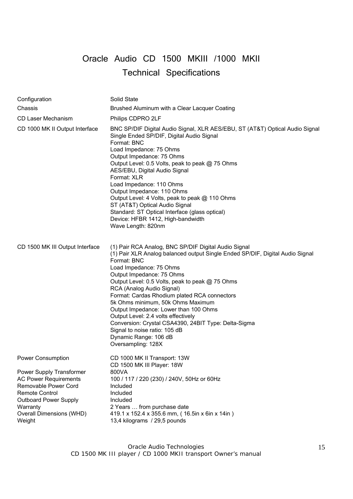# Oracle Audio CD 1500 MKIII /1000 MKII Technical Specifications

| Configuration                                                                                                                                                                               | Solid State                                                                                                                                                                                                                                                                                                                                                                                                                                                                                                                                                                                               |
|---------------------------------------------------------------------------------------------------------------------------------------------------------------------------------------------|-----------------------------------------------------------------------------------------------------------------------------------------------------------------------------------------------------------------------------------------------------------------------------------------------------------------------------------------------------------------------------------------------------------------------------------------------------------------------------------------------------------------------------------------------------------------------------------------------------------|
| Chassis                                                                                                                                                                                     | Brushed Aluminum with a Clear Lacquer Coating                                                                                                                                                                                                                                                                                                                                                                                                                                                                                                                                                             |
| CD Laser Mechanism                                                                                                                                                                          | Philips CDPRO 2LF                                                                                                                                                                                                                                                                                                                                                                                                                                                                                                                                                                                         |
| CD 1000 MK II Output Interface                                                                                                                                                              | BNC SP/DIF Digital Audio Signal, XLR AES/EBU, ST (AT&T) Optical Audio Signal<br>Single Ended SP/DIF, Digital Audio Signal<br>Format: BNC<br>Load Impedance: 75 Ohms<br>Output Impedance: 75 Ohms<br>Output Level: 0.5 Volts, peak to peak @ 75 Ohms<br>AES/EBU, Digital Audio Signal<br>Format: XLR<br>Load Impedance: 110 Ohms<br>Output Impedance: 110 Ohms<br>Output Level: 4 Volts, peak to peak @ 110 Ohms<br>ST (AT&T) Optical Audio Signal<br>Standard: ST Optical Interface (glass optical)<br>Device: HFBR 1412, High-bandwidth<br>Wave Length: 820nm                                            |
| CD 1500 MK III Output Interface                                                                                                                                                             | (1) Pair RCA Analog, BNC SP/DIF Digital Audio Signal<br>(1) Pair XLR Analog balanced output Single Ended SP/DIF, Digital Audio Signal<br>Format: BNC<br>Load Impedance: 75 Ohms<br>Output Impedance: 75 Ohms<br>Output Level: 0.5 Volts, peak to peak @ 75 Ohms<br>RCA (Analog Audio Signal)<br>Format: Cardas Rhodium plated RCA connectors<br>5k Ohms minimum, 50k Ohms Maximum<br>Output Impedance: Lower than 100 Ohms<br>Output Level: 2.4 volts effectively<br>Conversion: Crystal CSA4390, 24BIT Type: Delta-Sigma<br>Signal to noise ratio: 105 dB<br>Dynamic Range: 106 dB<br>Oversampling: 128X |
| Power Consumption                                                                                                                                                                           | CD 1000 MK II Transport: 13W<br>CD 1500 MK III Player: 18W                                                                                                                                                                                                                                                                                                                                                                                                                                                                                                                                                |
| Power Supply Transformer<br><b>AC Power Requirements</b><br>Removable Power Cord<br><b>Remote Control</b><br><b>Outboard Power Supply</b><br>Warranty<br>Overall Dimensions (WHD)<br>Weight | 800VA<br>100 / 117 / 220 (230) / 240V, 50Hz or 60Hz<br>Included<br>Included<br>Included<br>2 Years  from purchase date<br>419.1 x 152.4 x 355.6 mm, (16.5in x 6in x 14in)<br>13,4 kilograms / 29,5 pounds                                                                                                                                                                                                                                                                                                                                                                                                 |